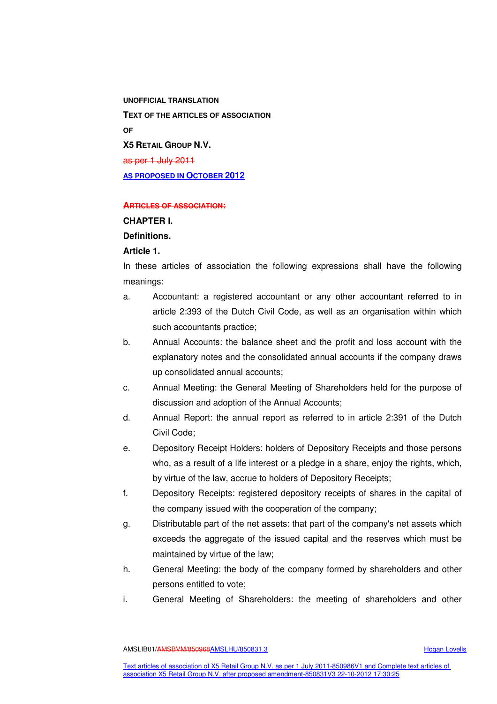**UNOFFICIAL TRANSLATION TEXT OF THE ARTICLES OF ASSOCIATION OF X5 RETAIL GROUP N.V.**  as per 1 July 2011 **AS PROPOSED IN OCTOBER 2012** 

#### **ARTICLES OF ASSOCIATION:**

#### **CHAPTER I.**

# **Definitions.**

# **Article 1.**

In these articles of association the following expressions shall have the following meanings:

- a. Accountant: a registered accountant or any other accountant referred to in article 2:393 of the Dutch Civil Code, as well as an organisation within which such accountants practice;
- b. Annual Accounts: the balance sheet and the profit and loss account with the explanatory notes and the consolidated annual accounts if the company draws up consolidated annual accounts;
- c. Annual Meeting: the General Meeting of Shareholders held for the purpose of discussion and adoption of the Annual Accounts;
- d. Annual Report: the annual report as referred to in article 2:391 of the Dutch Civil Code;
- e. Depository Receipt Holders: holders of Depository Receipts and those persons who, as a result of a life interest or a pledge in a share, enjoy the rights, which, by virtue of the law, accrue to holders of Depository Receipts;
- f. Depository Receipts: registered depository receipts of shares in the capital of the company issued with the cooperation of the company;
- g. Distributable part of the net assets: that part of the company's net assets which exceeds the aggregate of the issued capital and the reserves which must be maintained by virtue of the law;
- h. General Meeting: the body of the company formed by shareholders and other persons entitled to vote;
- i. General Meeting of Shareholders: the meeting of shareholders and other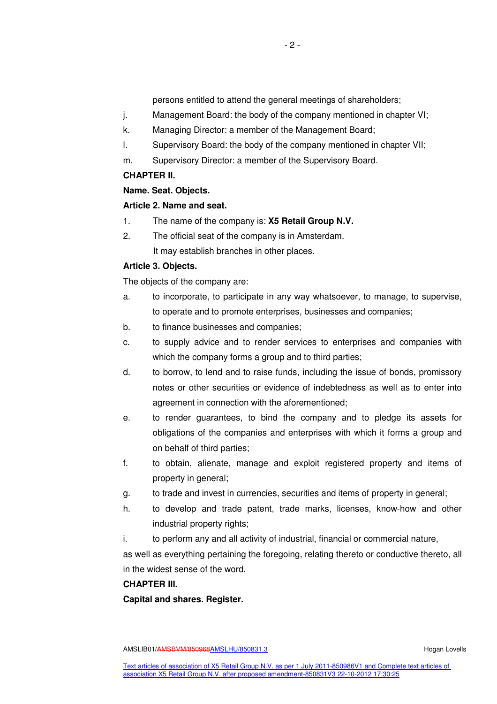persons entitled to attend the general meetings of shareholders;

- j. Management Board: the body of the company mentioned in chapter VI;
- k. Managing Director: a member of the Management Board;
- l. Supervisory Board: the body of the company mentioned in chapter VII;
- m. Supervisory Director: a member of the Supervisory Board.

# **CHAPTER II.**

# **Name. Seat. Objects.**

# **Article 2. Name and seat.**

- 1. The name of the company is: **X5 Retail Group N.V.**
- 2. The official seat of the company is in Amsterdam. It may establish branches in other places.

# **Article 3. Objects.**

The objects of the company are:

- a. to incorporate, to participate in any way whatsoever, to manage, to supervise, to operate and to promote enterprises, businesses and companies;
- b. to finance businesses and companies;
- c. to supply advice and to render services to enterprises and companies with which the company forms a group and to third parties;
- d. to borrow, to lend and to raise funds, including the issue of bonds, promissory notes or other securities or evidence of indebtedness as well as to enter into agreement in connection with the aforementioned;
- e. to render guarantees, to bind the company and to pledge its assets for obligations of the companies and enterprises with which it forms a group and on behalf of third parties;
- f. to obtain, alienate, manage and exploit registered property and items of property in general;
- g. to trade and invest in currencies, securities and items of property in general;
- h. to develop and trade patent, trade marks, licenses, know-how and other industrial property rights;
- i. to perform any and all activity of industrial, financial or commercial nature,

as well as everything pertaining the foregoing, relating thereto or conductive thereto, all in the widest sense of the word.

# **CHAPTER III.**

**Capital and shares. Register.**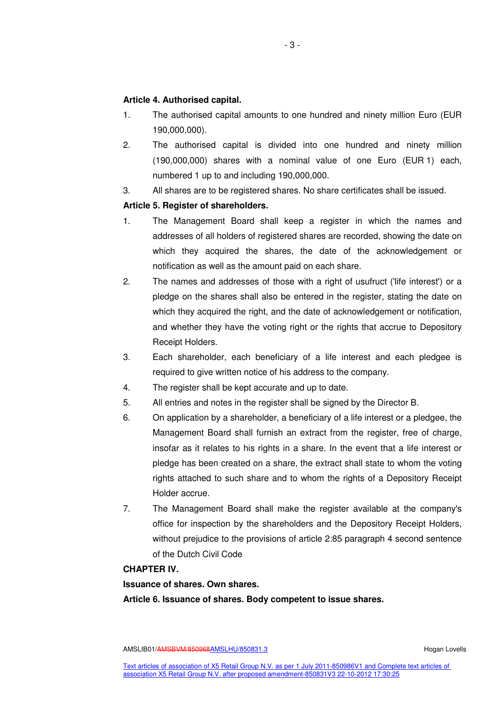# **Article 4. Authorised capital.**

- 1. The authorised capital amounts to one hundred and ninety million Euro (EUR 190,000,000).
- 2. The authorised capital is divided into one hundred and ninety million (190,000,000) shares with a nominal value of one Euro (EUR 1) each, numbered 1 up to and including 190,000,000.
- 3. All shares are to be registered shares. No share certificates shall be issued.

# **Article 5. Register of shareholders.**

- 1. The Management Board shall keep a register in which the names and addresses of all holders of registered shares are recorded, showing the date on which they acquired the shares, the date of the acknowledgement or notification as well as the amount paid on each share.
- 2. The names and addresses of those with a right of usufruct ('life interest') or a pledge on the shares shall also be entered in the register, stating the date on which they acquired the right, and the date of acknowledgement or notification, and whether they have the voting right or the rights that accrue to Depository Receipt Holders.
- 3. Each shareholder, each beneficiary of a life interest and each pledgee is required to give written notice of his address to the company.
- 4. The register shall be kept accurate and up to date.
- 5. All entries and notes in the register shall be signed by the Director B.
- 6. On application by a shareholder, a beneficiary of a life interest or a pledgee, the Management Board shall furnish an extract from the register, free of charge, insofar as it relates to his rights in a share. In the event that a life interest or pledge has been created on a share, the extract shall state to whom the voting rights attached to such share and to whom the rights of a Depository Receipt Holder accrue.
- 7. The Management Board shall make the register available at the company's office for inspection by the shareholders and the Depository Receipt Holders, without prejudice to the provisions of article 2:85 paragraph 4 second sentence of the Dutch Civil Code

# **CHAPTER IV.**

# **Issuance of shares. Own shares.**

**Article 6. Issuance of shares. Body competent to issue shares.**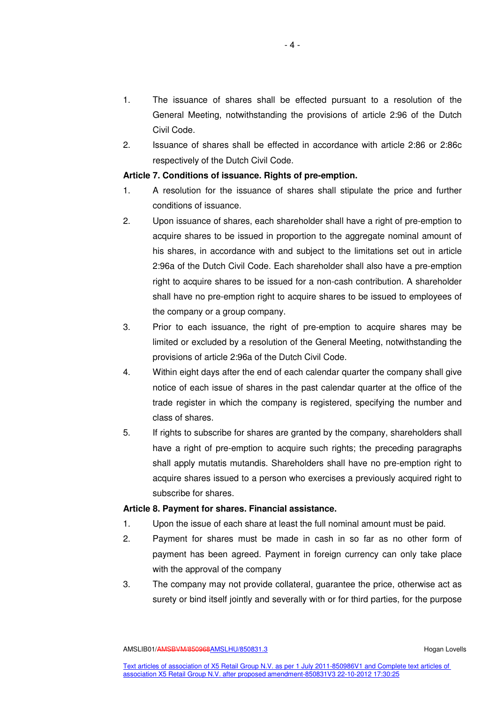- 1. The issuance of shares shall be effected pursuant to a resolution of the General Meeting, notwithstanding the provisions of article 2:96 of the Dutch Civil Code.
- 2. Issuance of shares shall be effected in accordance with article 2:86 or 2:86c respectively of the Dutch Civil Code.

# **Article 7. Conditions of issuance. Rights of pre-emption.**

- 1. A resolution for the issuance of shares shall stipulate the price and further conditions of issuance.
- 2. Upon issuance of shares, each shareholder shall have a right of pre-emption to acquire shares to be issued in proportion to the aggregate nominal amount of his shares, in accordance with and subject to the limitations set out in article 2:96a of the Dutch Civil Code. Each shareholder shall also have a pre-emption right to acquire shares to be issued for a non-cash contribution. A shareholder shall have no pre-emption right to acquire shares to be issued to employees of the company or a group company.
- 3. Prior to each issuance, the right of pre-emption to acquire shares may be limited or excluded by a resolution of the General Meeting, notwithstanding the provisions of article 2:96a of the Dutch Civil Code.
- 4. Within eight days after the end of each calendar quarter the company shall give notice of each issue of shares in the past calendar quarter at the office of the trade register in which the company is registered, specifying the number and class of shares.
- 5. If rights to subscribe for shares are granted by the company, shareholders shall have a right of pre-emption to acquire such rights; the preceding paragraphs shall apply mutatis mutandis. Shareholders shall have no pre-emption right to acquire shares issued to a person who exercises a previously acquired right to subscribe for shares.

# **Article 8. Payment for shares. Financial assistance.**

- 1. Upon the issue of each share at least the full nominal amount must be paid.
- 2. Payment for shares must be made in cash in so far as no other form of payment has been agreed. Payment in foreign currency can only take place with the approval of the company
- 3. The company may not provide collateral, guarantee the price, otherwise act as surety or bind itself jointly and severally with or for third parties, for the purpose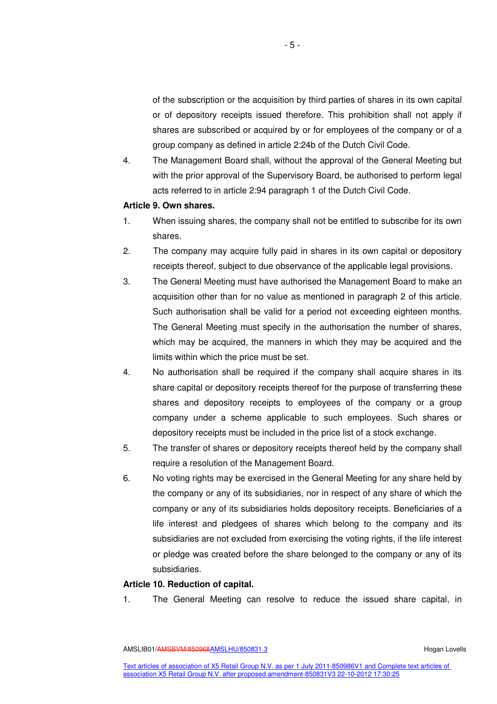of the subscription or the acquisition by third parties of shares in its own capital or of depository receipts issued therefore. This prohibition shall not apply if shares are subscribed or acquired by or for employees of the company or of a group company as defined in article 2:24b of the Dutch Civil Code.

4. The Management Board shall, without the approval of the General Meeting but with the prior approval of the Supervisory Board, be authorised to perform legal acts referred to in article 2:94 paragraph 1 of the Dutch Civil Code.

# **Article 9. Own shares.**

- 1. When issuing shares, the company shall not be entitled to subscribe for its own shares.
- 2. The company may acquire fully paid in shares in its own capital or depository receipts thereof, subject to due observance of the applicable legal provisions.
- 3. The General Meeting must have authorised the Management Board to make an acquisition other than for no value as mentioned in paragraph 2 of this article. Such authorisation shall be valid for a period not exceeding eighteen months. The General Meeting must specify in the authorisation the number of shares, which may be acquired, the manners in which they may be acquired and the limits within which the price must be set.
- 4. No authorisation shall be required if the company shall acquire shares in its share capital or depository receipts thereof for the purpose of transferring these shares and depository receipts to employees of the company or a group company under a scheme applicable to such employees. Such shares or depository receipts must be included in the price list of a stock exchange.
- 5. The transfer of shares or depository receipts thereof held by the company shall require a resolution of the Management Board.
- 6. No voting rights may be exercised in the General Meeting for any share held by the company or any of its subsidiaries, nor in respect of any share of which the company or any of its subsidiaries holds depository receipts. Beneficiaries of a life interest and pledgees of shares which belong to the company and its subsidiaries are not excluded from exercising the voting rights, if the life interest or pledge was created before the share belonged to the company or any of its subsidiaries.

#### **Article 10. Reduction of capital.**

1. The General Meeting can resolve to reduce the issued share capital, in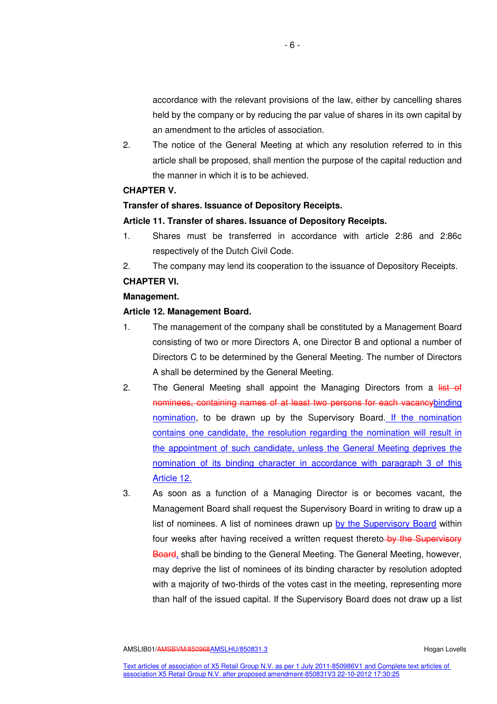accordance with the relevant provisions of the law, either by cancelling shares held by the company or by reducing the par value of shares in its own capital by an amendment to the articles of association.

2. The notice of the General Meeting at which any resolution referred to in this article shall be proposed, shall mention the purpose of the capital reduction and the manner in which it is to be achieved.

## **CHAPTER V.**

# **Transfer of shares. Issuance of Depository Receipts.**

#### **Article 11. Transfer of shares. Issuance of Depository Receipts.**

- 1. Shares must be transferred in accordance with article 2:86 and 2:86c respectively of the Dutch Civil Code.
- 2. The company may lend its cooperation to the issuance of Depository Receipts.

# **CHAPTER VI.**

#### **Management.**

#### **Article 12. Management Board.**

- 1. The management of the company shall be constituted by a Management Board consisting of two or more Directors A, one Director B and optional a number of Directors C to be determined by the General Meeting. The number of Directors A shall be determined by the General Meeting.
- 2. The General Meeting shall appoint the Managing Directors from a list of nominees, containing names of at least two persons for each vacancybinding nomination, to be drawn up by the Supervisory Board. If the nomination contains one candidate, the resolution regarding the nomination will result in the appointment of such candidate, unless the General Meeting deprives the nomination of its binding character in accordance with paragraph 3 of this Article 12.
- 3. As soon as a function of a Managing Director is or becomes vacant, the Management Board shall request the Supervisory Board in writing to draw up a list of nominees. A list of nominees drawn up by the Supervisory Board within four weeks after having received a written request thereto-by the Supervisory Board, shall be binding to the General Meeting. The General Meeting, however, may deprive the list of nominees of its binding character by resolution adopted with a majority of two-thirds of the votes cast in the meeting, representing more than half of the issued capital. If the Supervisory Board does not draw up a list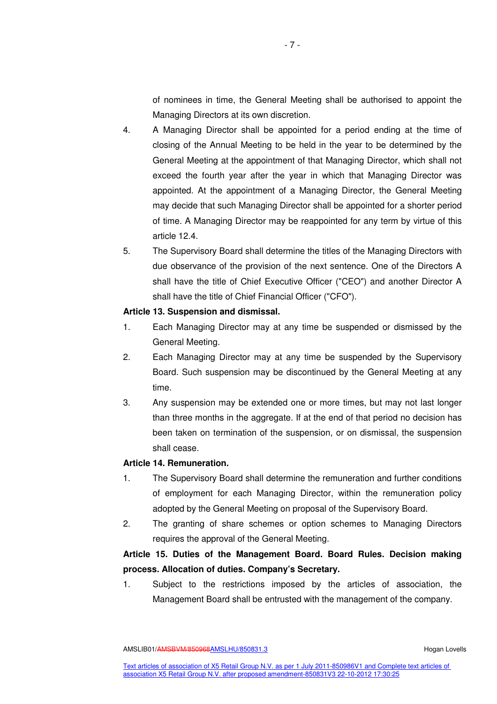of nominees in time, the General Meeting shall be authorised to appoint the Managing Directors at its own discretion.

- 4. A Managing Director shall be appointed for a period ending at the time of closing of the Annual Meeting to be held in the year to be determined by the General Meeting at the appointment of that Managing Director, which shall not exceed the fourth year after the year in which that Managing Director was appointed. At the appointment of a Managing Director, the General Meeting may decide that such Managing Director shall be appointed for a shorter period of time. A Managing Director may be reappointed for any term by virtue of this article 12.4.
- 5. The Supervisory Board shall determine the titles of the Managing Directors with due observance of the provision of the next sentence. One of the Directors A shall have the title of Chief Executive Officer ("CEO") and another Director A shall have the title of Chief Financial Officer ("CFO").

#### **Article 13. Suspension and dismissal.**

- 1. Each Managing Director may at any time be suspended or dismissed by the General Meeting.
- 2. Each Managing Director may at any time be suspended by the Supervisory Board. Such suspension may be discontinued by the General Meeting at any time.
- 3. Any suspension may be extended one or more times, but may not last longer than three months in the aggregate. If at the end of that period no decision has been taken on termination of the suspension, or on dismissal, the suspension shall cease.

# **Article 14. Remuneration.**

- 1. The Supervisory Board shall determine the remuneration and further conditions of employment for each Managing Director, within the remuneration policy adopted by the General Meeting on proposal of the Supervisory Board.
- 2. The granting of share schemes or option schemes to Managing Directors requires the approval of the General Meeting.

# **Article 15. Duties of the Management Board. Board Rules. Decision making process. Allocation of duties. Company's Secretary.**

1. Subject to the restrictions imposed by the articles of association, the Management Board shall be entrusted with the management of the company.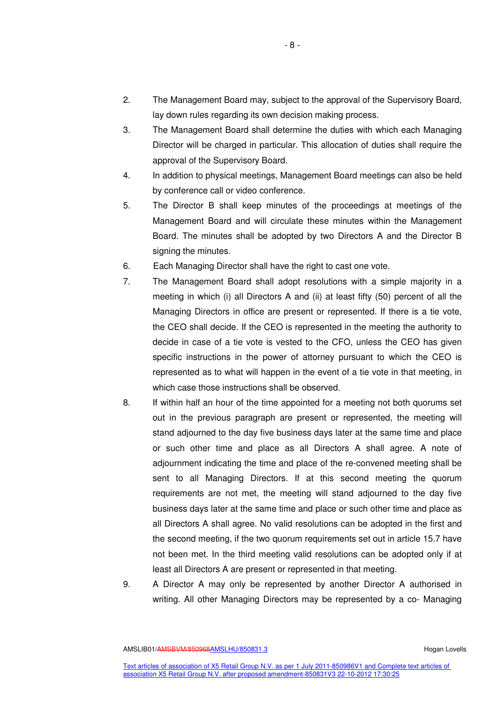- 2. The Management Board may, subject to the approval of the Supervisory Board, lay down rules regarding its own decision making process.
- 3. The Management Board shall determine the duties with which each Managing Director will be charged in particular. This allocation of duties shall require the approval of the Supervisory Board.
- 4. In addition to physical meetings, Management Board meetings can also be held by conference call or video conference.
- 5. The Director B shall keep minutes of the proceedings at meetings of the Management Board and will circulate these minutes within the Management Board. The minutes shall be adopted by two Directors A and the Director B signing the minutes.
- 6. Each Managing Director shall have the right to cast one vote.
- 7. The Management Board shall adopt resolutions with a simple majority in a meeting in which (i) all Directors A and (ii) at least fifty (50) percent of all the Managing Directors in office are present or represented. If there is a tie vote, the CEO shall decide. If the CEO is represented in the meeting the authority to decide in case of a tie vote is vested to the CFO, unless the CEO has given specific instructions in the power of attorney pursuant to which the CEO is represented as to what will happen in the event of a tie vote in that meeting, in which case those instructions shall be observed.
- 8. If within half an hour of the time appointed for a meeting not both quorums set out in the previous paragraph are present or represented, the meeting will stand adjourned to the day five business days later at the same time and place or such other time and place as all Directors A shall agree. A note of adjournment indicating the time and place of the re-convened meeting shall be sent to all Managing Directors. If at this second meeting the quorum requirements are not met, the meeting will stand adjourned to the day five business days later at the same time and place or such other time and place as all Directors A shall agree. No valid resolutions can be adopted in the first and the second meeting, if the two quorum requirements set out in article 15.7 have not been met. In the third meeting valid resolutions can be adopted only if at least all Directors A are present or represented in that meeting.
- 9. A Director A may only be represented by another Director A authorised in writing. All other Managing Directors may be represented by a co- Managing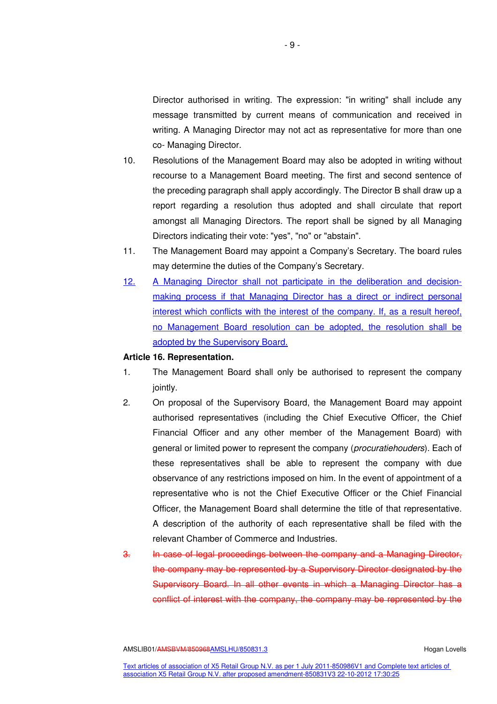Director authorised in writing. The expression: "in writing" shall include any message transmitted by current means of communication and received in writing. A Managing Director may not act as representative for more than one co- Managing Director.

- 10. Resolutions of the Management Board may also be adopted in writing without recourse to a Management Board meeting. The first and second sentence of the preceding paragraph shall apply accordingly. The Director B shall draw up a report regarding a resolution thus adopted and shall circulate that report amongst all Managing Directors. The report shall be signed by all Managing Directors indicating their vote: "yes", "no" or "abstain".
- 11. The Management Board may appoint a Company's Secretary. The board rules may determine the duties of the Company's Secretary.
- 12. A Managing Director shall not participate in the deliberation and decisionmaking process if that Managing Director has a direct or indirect personal interest which conflicts with the interest of the company. If, as a result hereof, no Management Board resolution can be adopted, the resolution shall be adopted by the Supervisory Board.

# **Article 16. Representation.**

- 1. The Management Board shall only be authorised to represent the company jointly.
- 2. On proposal of the Supervisory Board, the Management Board may appoint authorised representatives (including the Chief Executive Officer, the Chief Financial Officer and any other member of the Management Board) with general or limited power to represent the company (procuratiehouders). Each of these representatives shall be able to represent the company with due observance of any restrictions imposed on him. In the event of appointment of a representative who is not the Chief Executive Officer or the Chief Financial Officer, the Management Board shall determine the title of that representative. A description of the authority of each representative shall be filed with the relevant Chamber of Commerce and Industries.
- 3. In case of legal proceedings between the company and a Managing Director, the company may be represented by a Supervisory Director designated by the Supervisory Board. In all other events in which a Managing Director has a conflict of interest with the company, the company may be represented by the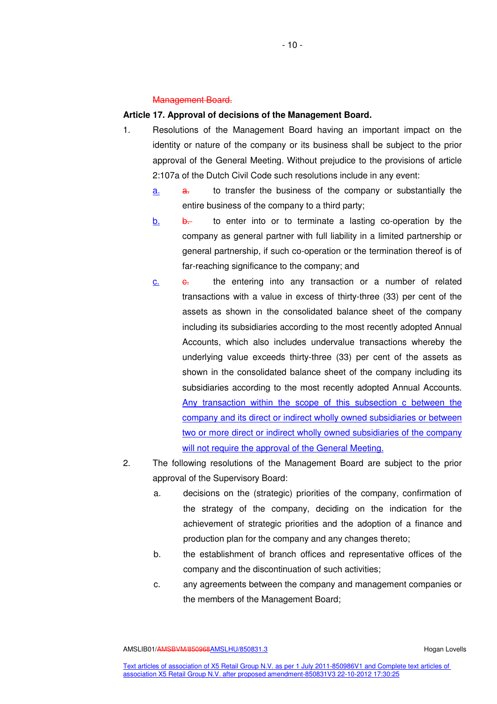#### Management Board.

# **Article 17. Approval of decisions of the Management Board.**

- 1. Resolutions of the Management Board having an important impact on the identity or nature of the company or its business shall be subject to the prior approval of the General Meeting. Without prejudice to the provisions of article 2:107a of the Dutch Civil Code such resolutions include in any event:
	- a. a. to transfer the business of the company or substantially the entire business of the company to a third party;
	- b. b. b. to enter into or to terminate a lasting co-operation by the company as general partner with full liability in a limited partnership or general partnership, if such co-operation or the termination thereof is of far-reaching significance to the company; and
	- c.  $\epsilon$  the entering into any transaction or a number of related transactions with a value in excess of thirty-three (33) per cent of the assets as shown in the consolidated balance sheet of the company including its subsidiaries according to the most recently adopted Annual Accounts, which also includes undervalue transactions whereby the underlying value exceeds thirty-three (33) per cent of the assets as shown in the consolidated balance sheet of the company including its subsidiaries according to the most recently adopted Annual Accounts. Any transaction within the scope of this subsection c between the company and its direct or indirect wholly owned subsidiaries or between two or more direct or indirect wholly owned subsidiaries of the company will not require the approval of the General Meeting.
- 2. The following resolutions of the Management Board are subject to the prior approval of the Supervisory Board:
	- a. decisions on the (strategic) priorities of the company, confirmation of the strategy of the company, deciding on the indication for the achievement of strategic priorities and the adoption of a finance and production plan for the company and any changes thereto;
	- b. the establishment of branch offices and representative offices of the company and the discontinuation of such activities;
	- c. any agreements between the company and management companies or the members of the Management Board;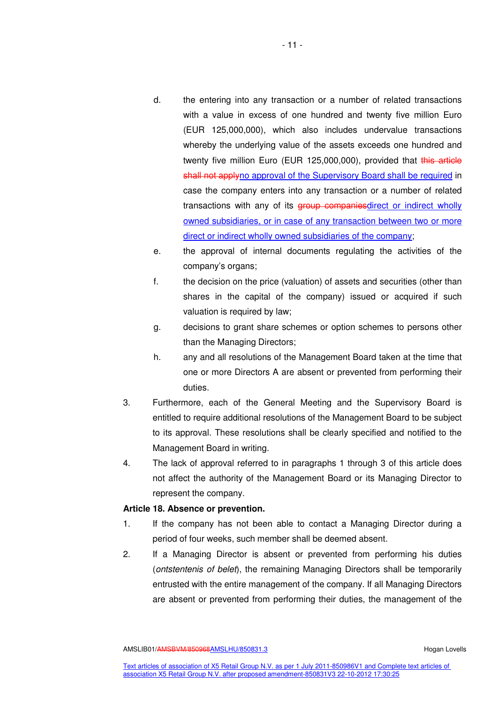- d. the entering into any transaction or a number of related transactions with a value in excess of one hundred and twenty five million Euro (EUR 125,000,000), which also includes undervalue transactions whereby the underlying value of the assets exceeds one hundred and twenty five million Euro (EUR 125,000,000), provided that this article shall not applyno approval of the Supervisory Board shall be required in case the company enters into any transaction or a number of related transactions with any of its group companiesdirect or indirect wholly owned subsidiaries, or in case of any transaction between two or more direct or indirect wholly owned subsidiaries of the company;
- e. the approval of internal documents regulating the activities of the company's organs;
- f. the decision on the price (valuation) of assets and securities (other than shares in the capital of the company) issued or acquired if such valuation is required by law;
- g. decisions to grant share schemes or option schemes to persons other than the Managing Directors;
- h. any and all resolutions of the Management Board taken at the time that one or more Directors A are absent or prevented from performing their duties.
- 3. Furthermore, each of the General Meeting and the Supervisory Board is entitled to require additional resolutions of the Management Board to be subject to its approval. These resolutions shall be clearly specified and notified to the Management Board in writing.
- 4. The lack of approval referred to in paragraphs 1 through 3 of this article does not affect the authority of the Management Board or its Managing Director to represent the company.

# **Article 18. Absence or prevention.**

- 1. If the company has not been able to contact a Managing Director during a period of four weeks, such member shall be deemed absent.
- 2. If a Managing Director is absent or prevented from performing his duties (ontstentenis of belet), the remaining Managing Directors shall be temporarily entrusted with the entire management of the company. If all Managing Directors are absent or prevented from performing their duties, the management of the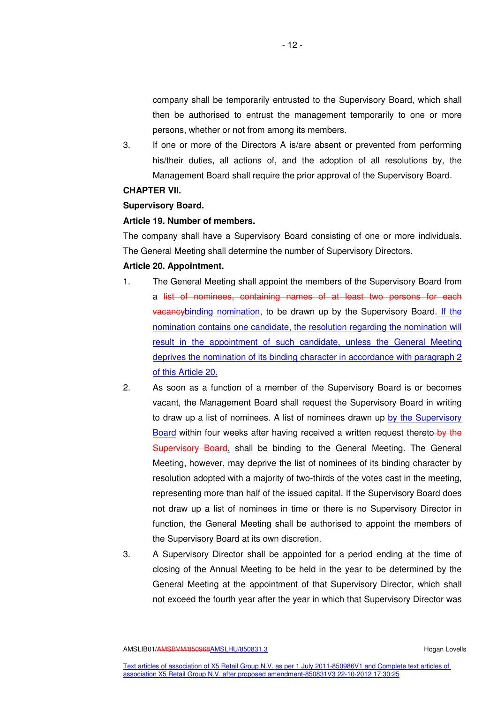company shall be temporarily entrusted to the Supervisory Board, which shall then be authorised to entrust the management temporarily to one or more persons, whether or not from among its members.

3. If one or more of the Directors A is/are absent or prevented from performing his/their duties, all actions of, and the adoption of all resolutions by, the Management Board shall require the prior approval of the Supervisory Board.

#### **CHAPTER VII.**

# **Supervisory Board.**

#### **Article 19. Number of members.**

The company shall have a Supervisory Board consisting of one or more individuals. The General Meeting shall determine the number of Supervisory Directors.

# **Article 20. Appointment.**

- 1. The General Meeting shall appoint the members of the Supervisory Board from a list of nominees, containing names of at least two persons for each vacancybinding nomination, to be drawn up by the Supervisory Board. If the nomination contains one candidate, the resolution regarding the nomination will result in the appointment of such candidate, unless the General Meeting deprives the nomination of its binding character in accordance with paragraph 2 of this Article 20.
- 2. As soon as a function of a member of the Supervisory Board is or becomes vacant, the Management Board shall request the Supervisory Board in writing to draw up a list of nominees. A list of nominees drawn up by the Supervisory Board within four weeks after having received a written request thereto by the Supervisory Board, shall be binding to the General Meeting. The General Meeting, however, may deprive the list of nominees of its binding character by resolution adopted with a majority of two-thirds of the votes cast in the meeting, representing more than half of the issued capital. If the Supervisory Board does not draw up a list of nominees in time or there is no Supervisory Director in function, the General Meeting shall be authorised to appoint the members of the Supervisory Board at its own discretion.
- 3. A Supervisory Director shall be appointed for a period ending at the time of closing of the Annual Meeting to be held in the year to be determined by the General Meeting at the appointment of that Supervisory Director, which shall not exceed the fourth year after the year in which that Supervisory Director was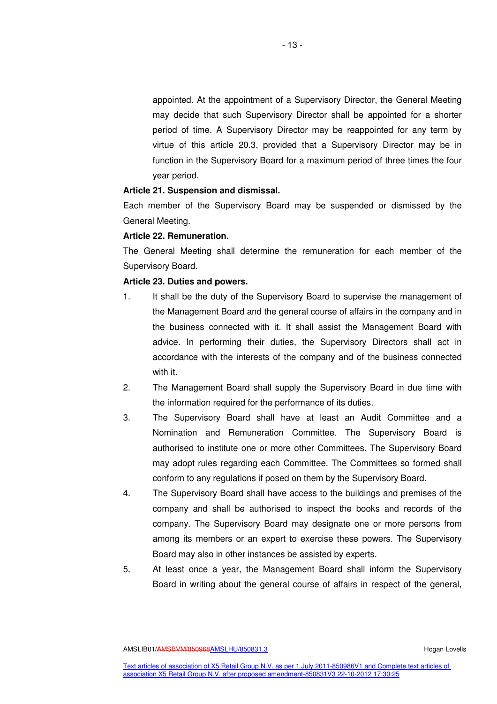appointed. At the appointment of a Supervisory Director, the General Meeting may decide that such Supervisory Director shall be appointed for a shorter period of time. A Supervisory Director may be reappointed for any term by virtue of this article 20.3, provided that a Supervisory Director may be in function in the Supervisory Board for a maximum period of three times the four year period.

#### **Article 21. Suspension and dismissal.**

Each member of the Supervisory Board may be suspended or dismissed by the General Meeting.

# **Article 22. Remuneration.**

The General Meeting shall determine the remuneration for each member of the Supervisory Board.

# **Article 23. Duties and powers.**

- 1. It shall be the duty of the Supervisory Board to supervise the management of the Management Board and the general course of affairs in the company and in the business connected with it. It shall assist the Management Board with advice. In performing their duties, the Supervisory Directors shall act in accordance with the interests of the company and of the business connected with it.
- 2. The Management Board shall supply the Supervisory Board in due time with the information required for the performance of its duties.
- 3. The Supervisory Board shall have at least an Audit Committee and a Nomination and Remuneration Committee. The Supervisory Board is authorised to institute one or more other Committees. The Supervisory Board may adopt rules regarding each Committee. The Committees so formed shall conform to any regulations if posed on them by the Supervisory Board.
- 4. The Supervisory Board shall have access to the buildings and premises of the company and shall be authorised to inspect the books and records of the company. The Supervisory Board may designate one or more persons from among its members or an expert to exercise these powers. The Supervisory Board may also in other instances be assisted by experts.
- 5. At least once a year, the Management Board shall inform the Supervisory Board in writing about the general course of affairs in respect of the general,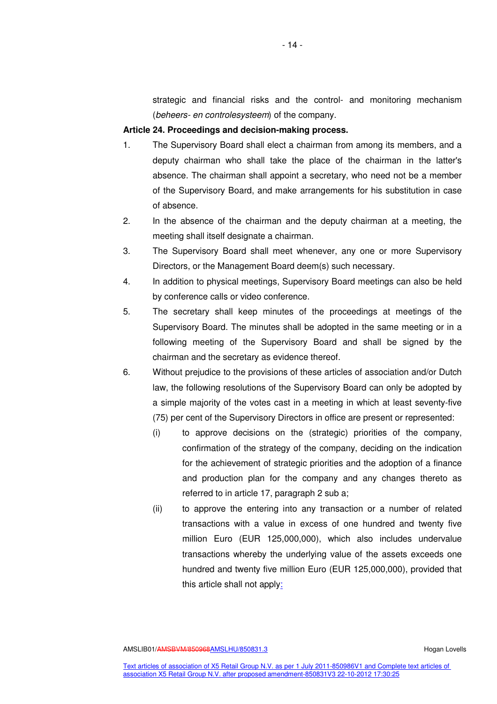strategic and financial risks and the control- and monitoring mechanism (beheers- en controlesysteem) of the company.

#### **Article 24. Proceedings and decision-making process.**

- 1. The Supervisory Board shall elect a chairman from among its members, and a deputy chairman who shall take the place of the chairman in the latter's absence. The chairman shall appoint a secretary, who need not be a member of the Supervisory Board, and make arrangements for his substitution in case of absence.
- 2. In the absence of the chairman and the deputy chairman at a meeting, the meeting shall itself designate a chairman.
- 3. The Supervisory Board shall meet whenever, any one or more Supervisory Directors, or the Management Board deem(s) such necessary.
- 4. In addition to physical meetings, Supervisory Board meetings can also be held by conference calls or video conference.
- 5. The secretary shall keep minutes of the proceedings at meetings of the Supervisory Board. The minutes shall be adopted in the same meeting or in a following meeting of the Supervisory Board and shall be signed by the chairman and the secretary as evidence thereof.
- 6. Without prejudice to the provisions of these articles of association and/or Dutch law, the following resolutions of the Supervisory Board can only be adopted by a simple majority of the votes cast in a meeting in which at least seventy-five (75) per cent of the Supervisory Directors in office are present or represented:
	- (i) to approve decisions on the (strategic) priorities of the company, confirmation of the strategy of the company, deciding on the indication for the achievement of strategic priorities and the adoption of a finance and production plan for the company and any changes thereto as referred to in article 17, paragraph 2 sub a;
	- (ii) to approve the entering into any transaction or a number of related transactions with a value in excess of one hundred and twenty five million Euro (EUR 125,000,000), which also includes undervalue transactions whereby the underlying value of the assets exceeds one hundred and twenty five million Euro (EUR 125,000,000), provided that this article shall not apply: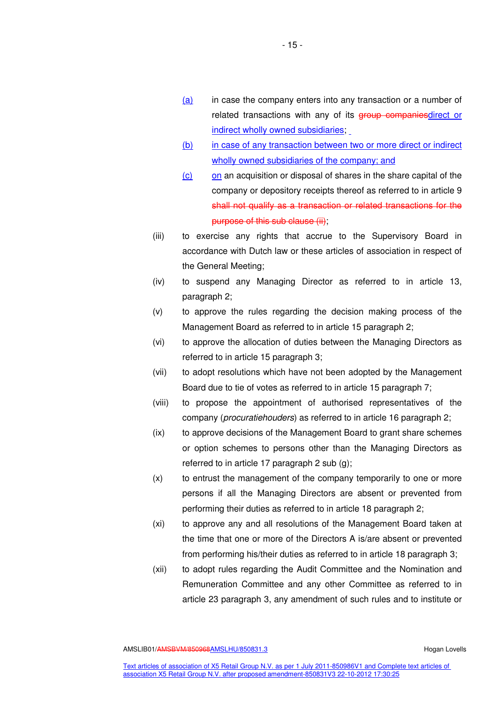- $(a)$  in case the company enters into any transaction or a number of related transactions with any of its **group companiesdirect** or indirect wholly owned subsidiaries;
- (b) in case of any transaction between two or more direct or indirect wholly owned subsidiaries of the company; and
- $(c)$  on an acquisition or disposal of shares in the share capital of the company or depository receipts thereof as referred to in article 9 shall not qualify as a transaction or related transactions for the purpose of this sub clause (ii);
- (iii) to exercise any rights that accrue to the Supervisory Board in accordance with Dutch law or these articles of association in respect of the General Meeting;
- (iv) to suspend any Managing Director as referred to in article 13, paragraph 2;
- (v) to approve the rules regarding the decision making process of the Management Board as referred to in article 15 paragraph 2;
- (vi) to approve the allocation of duties between the Managing Directors as referred to in article 15 paragraph 3;
- (vii) to adopt resolutions which have not been adopted by the Management Board due to tie of votes as referred to in article 15 paragraph 7;
- (viii) to propose the appointment of authorised representatives of the company (procuratiehouders) as referred to in article 16 paragraph 2;
- (ix) to approve decisions of the Management Board to grant share schemes or option schemes to persons other than the Managing Directors as referred to in article 17 paragraph 2 sub (g);
- (x) to entrust the management of the company temporarily to one or more persons if all the Managing Directors are absent or prevented from performing their duties as referred to in article 18 paragraph 2;
- (xi) to approve any and all resolutions of the Management Board taken at the time that one or more of the Directors A is/are absent or prevented from performing his/their duties as referred to in article 18 paragraph 3;
- (xii) to adopt rules regarding the Audit Committee and the Nomination and Remuneration Committee and any other Committee as referred to in article 23 paragraph 3, any amendment of such rules and to institute or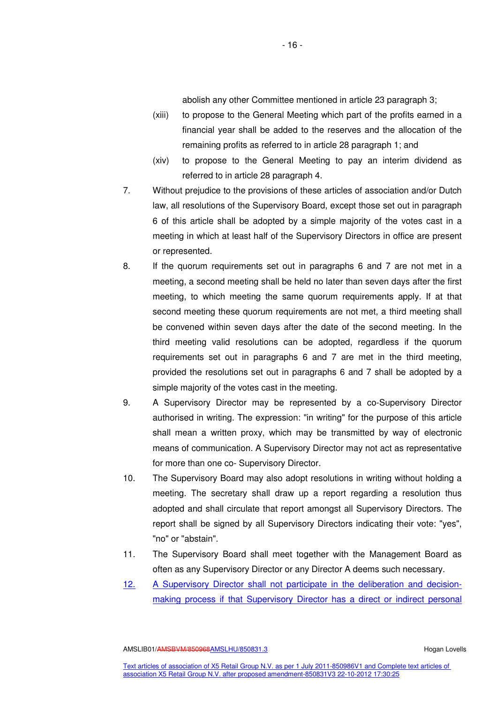abolish any other Committee mentioned in article 23 paragraph 3;

- (xiii) to propose to the General Meeting which part of the profits earned in a financial year shall be added to the reserves and the allocation of the remaining profits as referred to in article 28 paragraph 1; and
- (xiv) to propose to the General Meeting to pay an interim dividend as referred to in article 28 paragraph 4.
- 7. Without prejudice to the provisions of these articles of association and/or Dutch law, all resolutions of the Supervisory Board, except those set out in paragraph 6 of this article shall be adopted by a simple majority of the votes cast in a meeting in which at least half of the Supervisory Directors in office are present or represented.
- 8. If the quorum requirements set out in paragraphs 6 and 7 are not met in a meeting, a second meeting shall be held no later than seven days after the first meeting, to which meeting the same quorum requirements apply. If at that second meeting these quorum requirements are not met, a third meeting shall be convened within seven days after the date of the second meeting. In the third meeting valid resolutions can be adopted, regardless if the quorum requirements set out in paragraphs 6 and 7 are met in the third meeting, provided the resolutions set out in paragraphs 6 and 7 shall be adopted by a simple majority of the votes cast in the meeting.
- 9. A Supervisory Director may be represented by a co-Supervisory Director authorised in writing. The expression: "in writing" for the purpose of this article shall mean a written proxy, which may be transmitted by way of electronic means of communication. A Supervisory Director may not act as representative for more than one co- Supervisory Director.
- 10. The Supervisory Board may also adopt resolutions in writing without holding a meeting. The secretary shall draw up a report regarding a resolution thus adopted and shall circulate that report amongst all Supervisory Directors. The report shall be signed by all Supervisory Directors indicating their vote: "yes", "no" or "abstain".
- 11. The Supervisory Board shall meet together with the Management Board as often as any Supervisory Director or any Director A deems such necessary.
- 12. A Supervisory Director shall not participate in the deliberation and decisionmaking process if that Supervisory Director has a direct or indirect personal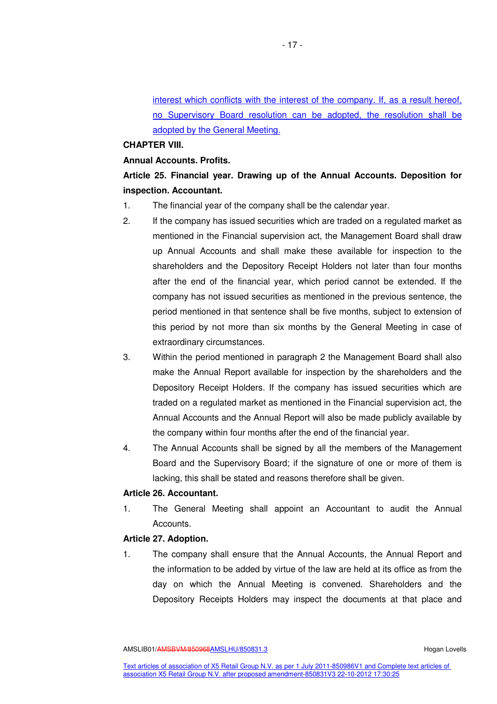interest which conflicts with the interest of the company. If, as a result hereof, no Supervisory Board resolution can be adopted, the resolution shall be adopted by the General Meeting.

## **CHAPTER VIII.**

#### **Annual Accounts. Profits.**

# **Article 25. Financial year. Drawing up of the Annual Accounts. Deposition for inspection. Accountant.**

- 1. The financial year of the company shall be the calendar year.
- 2. If the company has issued securities which are traded on a regulated market as mentioned in the Financial supervision act, the Management Board shall draw up Annual Accounts and shall make these available for inspection to the shareholders and the Depository Receipt Holders not later than four months after the end of the financial year, which period cannot be extended. If the company has not issued securities as mentioned in the previous sentence, the period mentioned in that sentence shall be five months, subject to extension of this period by not more than six months by the General Meeting in case of extraordinary circumstances.
- 3. Within the period mentioned in paragraph 2 the Management Board shall also make the Annual Report available for inspection by the shareholders and the Depository Receipt Holders. If the company has issued securities which are traded on a regulated market as mentioned in the Financial supervision act, the Annual Accounts and the Annual Report will also be made publicly available by the company within four months after the end of the financial year.
- 4. The Annual Accounts shall be signed by all the members of the Management Board and the Supervisory Board; if the signature of one or more of them is lacking, this shall be stated and reasons therefore shall be given.

# **Article 26. Accountant.**

1. The General Meeting shall appoint an Accountant to audit the Annual Accounts.

# **Article 27. Adoption.**

1. The company shall ensure that the Annual Accounts, the Annual Report and the information to be added by virtue of the law are held at its office as from the day on which the Annual Meeting is convened. Shareholders and the Depository Receipts Holders may inspect the documents at that place and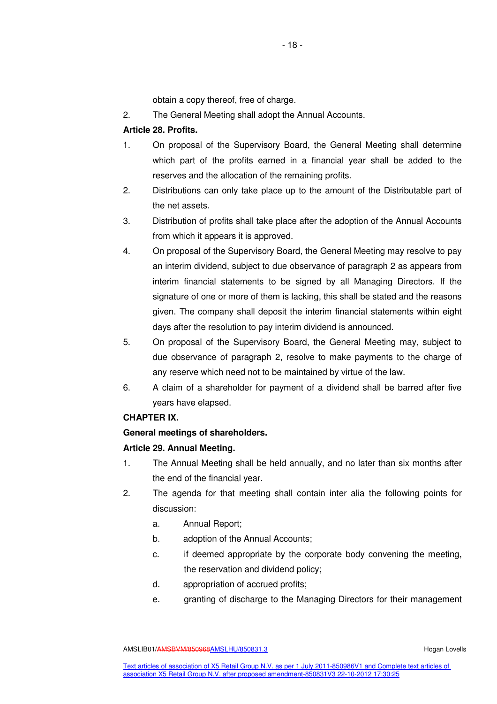obtain a copy thereof, free of charge.

2. The General Meeting shall adopt the Annual Accounts.

# **Article 28. Profits.**

- 1. On proposal of the Supervisory Board, the General Meeting shall determine which part of the profits earned in a financial year shall be added to the reserves and the allocation of the remaining profits.
- 2. Distributions can only take place up to the amount of the Distributable part of the net assets.
- 3. Distribution of profits shall take place after the adoption of the Annual Accounts from which it appears it is approved.
- 4. On proposal of the Supervisory Board, the General Meeting may resolve to pay an interim dividend, subject to due observance of paragraph 2 as appears from interim financial statements to be signed by all Managing Directors. If the signature of one or more of them is lacking, this shall be stated and the reasons given. The company shall deposit the interim financial statements within eight days after the resolution to pay interim dividend is announced.
- 5. On proposal of the Supervisory Board, the General Meeting may, subject to due observance of paragraph 2, resolve to make payments to the charge of any reserve which need not to be maintained by virtue of the law.
- 6. A claim of a shareholder for payment of a dividend shall be barred after five years have elapsed.

# **CHAPTER IX.**

# **General meetings of shareholders.**

# **Article 29. Annual Meeting.**

- 1. The Annual Meeting shall be held annually, and no later than six months after the end of the financial year.
- 2. The agenda for that meeting shall contain inter alia the following points for discussion:
	- a. Annual Report;
	- b. adoption of the Annual Accounts;
	- c. if deemed appropriate by the corporate body convening the meeting, the reservation and dividend policy;
	- d. appropriation of accrued profits;
	- e. granting of discharge to the Managing Directors for their management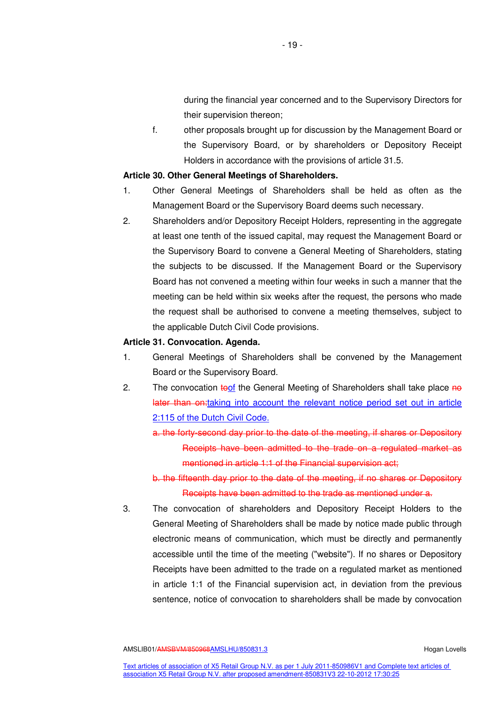during the financial year concerned and to the Supervisory Directors for their supervision thereon;

f. other proposals brought up for discussion by the Management Board or the Supervisory Board, or by shareholders or Depository Receipt Holders in accordance with the provisions of article 31.5.

#### **Article 30. Other General Meetings of Shareholders.**

- 1. Other General Meetings of Shareholders shall be held as often as the Management Board or the Supervisory Board deems such necessary.
- 2. Shareholders and/or Depository Receipt Holders, representing in the aggregate at least one tenth of the issued capital, may request the Management Board or the Supervisory Board to convene a General Meeting of Shareholders, stating the subjects to be discussed. If the Management Board or the Supervisory Board has not convened a meeting within four weeks in such a manner that the meeting can be held within six weeks after the request, the persons who made the request shall be authorised to convene a meeting themselves, subject to the applicable Dutch Civil Code provisions.

# **Article 31. Convocation. Agenda.**

- 1. General Meetings of Shareholders shall be convened by the Management Board or the Supervisory Board.
- 2. The convocation toof the General Meeting of Shareholders shall take place no later than on: taking into account the relevant notice period set out in article 2:115 of the Dutch Civil Code.

a. the forty-second day prior to the date of the meeting, if shares or Depository Receipts have been admitted to the trade on a regulated market as mentioned in article 1:1 of the Financial supervision act;

b. the fifteenth day prior to the date of the meeting, if no shares or Depository Receipts have been admitted to the trade as mentioned under a.

3. The convocation of shareholders and Depository Receipt Holders to the General Meeting of Shareholders shall be made by notice made public through electronic means of communication, which must be directly and permanently accessible until the time of the meeting ("website"). If no shares or Depository Receipts have been admitted to the trade on a regulated market as mentioned in article 1:1 of the Financial supervision act, in deviation from the previous sentence, notice of convocation to shareholders shall be made by convocation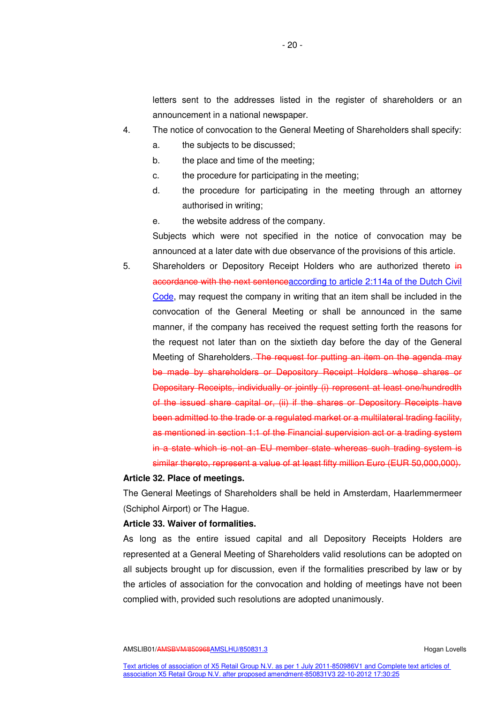letters sent to the addresses listed in the register of shareholders or an announcement in a national newspaper.

- 4. The notice of convocation to the General Meeting of Shareholders shall specify:
	- a. the subjects to be discussed;
	- b. the place and time of the meeting;
	- c. the procedure for participating in the meeting;
	- d. the procedure for participating in the meeting through an attorney authorised in writing;
	- e. the website address of the company.

Subjects which were not specified in the notice of convocation may be announced at a later date with due observance of the provisions of this article.

5. Shareholders or Depository Receipt Holders who are authorized thereto in accordance with the next sentenceaccording to article 2:114a of the Dutch Civil Code, may request the company in writing that an item shall be included in the convocation of the General Meeting or shall be announced in the same manner, if the company has received the request setting forth the reasons for the request not later than on the sixtieth day before the day of the General Meeting of Shareholders. The request for putting an item on the agenda may be made by shareholders or Depository Receipt Holders whose shares or Depositary Receipts, individually or jointly (i) represent at least one/hundredth of the issued share capital or, (ii) if the shares or Depository Receipts have been admitted to the trade or a regulated market or a multilateral trading facility, as mentioned in section 1:1 of the Financial supervision act or a trading system in a state which is not an EU member state whereas such trading system is similar thereto, represent a value of at least fifty million Euro (EUR 50,000,000).

### **Article 32. Place of meetings.**

The General Meetings of Shareholders shall be held in Amsterdam, Haarlemmermeer (Schiphol Airport) or The Hague.

#### **Article 33. Waiver of formalities.**

As long as the entire issued capital and all Depository Receipts Holders are represented at a General Meeting of Shareholders valid resolutions can be adopted on all subjects brought up for discussion, even if the formalities prescribed by law or by the articles of association for the convocation and holding of meetings have not been complied with, provided such resolutions are adopted unanimously.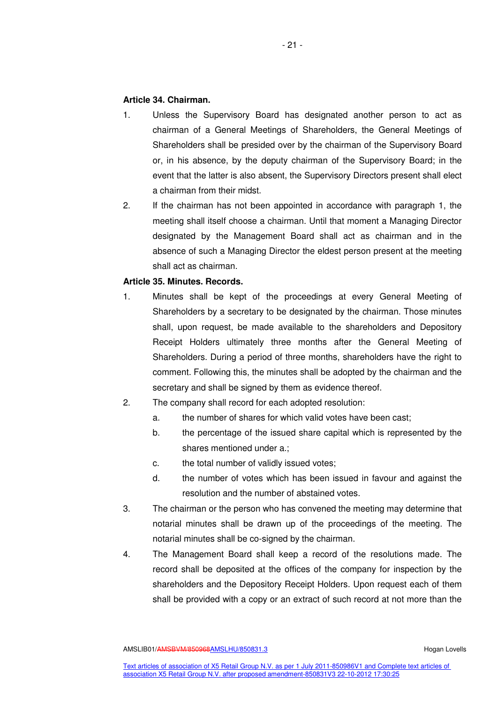# **Article 34. Chairman.**

- 1. Unless the Supervisory Board has designated another person to act as chairman of a General Meetings of Shareholders, the General Meetings of Shareholders shall be presided over by the chairman of the Supervisory Board or, in his absence, by the deputy chairman of the Supervisory Board; in the event that the latter is also absent, the Supervisory Directors present shall elect a chairman from their midst.
- 2. If the chairman has not been appointed in accordance with paragraph 1, the meeting shall itself choose a chairman. Until that moment a Managing Director designated by the Management Board shall act as chairman and in the absence of such a Managing Director the eldest person present at the meeting shall act as chairman.

# **Article 35. Minutes. Records.**

- 1. Minutes shall be kept of the proceedings at every General Meeting of Shareholders by a secretary to be designated by the chairman. Those minutes shall, upon request, be made available to the shareholders and Depository Receipt Holders ultimately three months after the General Meeting of Shareholders. During a period of three months, shareholders have the right to comment. Following this, the minutes shall be adopted by the chairman and the secretary and shall be signed by them as evidence thereof.
- 2. The company shall record for each adopted resolution:
	- a. the number of shares for which valid votes have been cast;
	- b. the percentage of the issued share capital which is represented by the shares mentioned under a.;
	- c. the total number of validly issued votes;
	- d. the number of votes which has been issued in favour and against the resolution and the number of abstained votes.
- 3. The chairman or the person who has convened the meeting may determine that notarial minutes shall be drawn up of the proceedings of the meeting. The notarial minutes shall be co-signed by the chairman.
- 4. The Management Board shall keep a record of the resolutions made. The record shall be deposited at the offices of the company for inspection by the shareholders and the Depository Receipt Holders. Upon request each of them shall be provided with a copy or an extract of such record at not more than the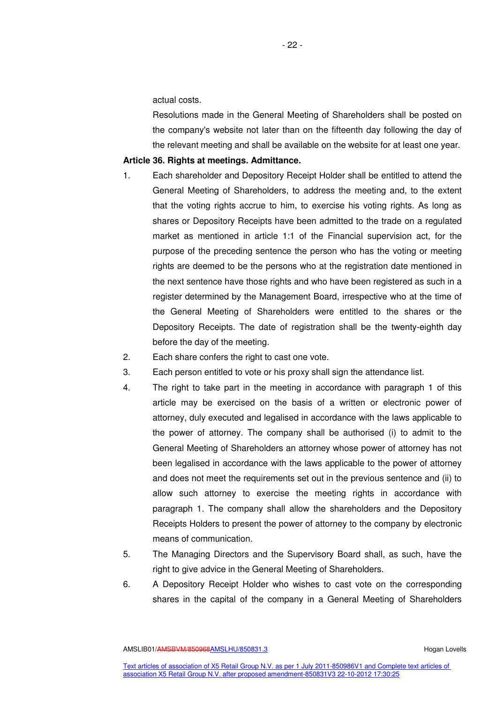actual costs.

Resolutions made in the General Meeting of Shareholders shall be posted on the company's website not later than on the fifteenth day following the day of the relevant meeting and shall be available on the website for at least one year.

# **Article 36. Rights at meetings. Admittance.**

- 1. Each shareholder and Depository Receipt Holder shall be entitled to attend the General Meeting of Shareholders, to address the meeting and, to the extent that the voting rights accrue to him, to exercise his voting rights. As long as shares or Depository Receipts have been admitted to the trade on a regulated market as mentioned in article 1:1 of the Financial supervision act, for the purpose of the preceding sentence the person who has the voting or meeting rights are deemed to be the persons who at the registration date mentioned in the next sentence have those rights and who have been registered as such in a register determined by the Management Board, irrespective who at the time of the General Meeting of Shareholders were entitled to the shares or the Depository Receipts. The date of registration shall be the twenty-eighth day before the day of the meeting.
- 2. Each share confers the right to cast one vote.
- 3. Each person entitled to vote or his proxy shall sign the attendance list.
- 4. The right to take part in the meeting in accordance with paragraph 1 of this article may be exercised on the basis of a written or electronic power of attorney, duly executed and legalised in accordance with the laws applicable to the power of attorney. The company shall be authorised (i) to admit to the General Meeting of Shareholders an attorney whose power of attorney has not been legalised in accordance with the laws applicable to the power of attorney and does not meet the requirements set out in the previous sentence and (ii) to allow such attorney to exercise the meeting rights in accordance with paragraph 1. The company shall allow the shareholders and the Depository Receipts Holders to present the power of attorney to the company by electronic means of communication.
- 5. The Managing Directors and the Supervisory Board shall, as such, have the right to give advice in the General Meeting of Shareholders.
- 6. A Depository Receipt Holder who wishes to cast vote on the corresponding shares in the capital of the company in a General Meeting of Shareholders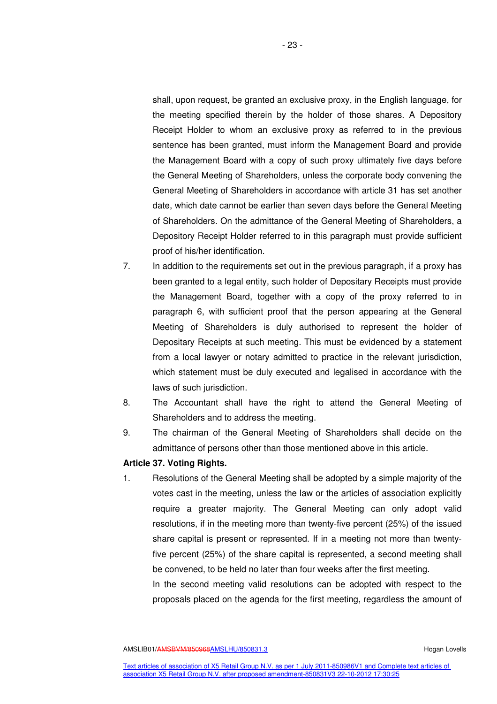shall, upon request, be granted an exclusive proxy, in the English language, for the meeting specified therein by the holder of those shares. A Depository Receipt Holder to whom an exclusive proxy as referred to in the previous sentence has been granted, must inform the Management Board and provide the Management Board with a copy of such proxy ultimately five days before the General Meeting of Shareholders, unless the corporate body convening the General Meeting of Shareholders in accordance with article 31 has set another date, which date cannot be earlier than seven days before the General Meeting of Shareholders. On the admittance of the General Meeting of Shareholders, a Depository Receipt Holder referred to in this paragraph must provide sufficient proof of his/her identification.

- 7. In addition to the requirements set out in the previous paragraph, if a proxy has been granted to a legal entity, such holder of Depositary Receipts must provide the Management Board, together with a copy of the proxy referred to in paragraph 6, with sufficient proof that the person appearing at the General Meeting of Shareholders is duly authorised to represent the holder of Depositary Receipts at such meeting. This must be evidenced by a statement from a local lawyer or notary admitted to practice in the relevant jurisdiction, which statement must be duly executed and legalised in accordance with the laws of such jurisdiction.
- 8. The Accountant shall have the right to attend the General Meeting of Shareholders and to address the meeting.
- 9. The chairman of the General Meeting of Shareholders shall decide on the admittance of persons other than those mentioned above in this article.

# **Article 37. Voting Rights.**

1. Resolutions of the General Meeting shall be adopted by a simple majority of the votes cast in the meeting, unless the law or the articles of association explicitly require a greater majority. The General Meeting can only adopt valid resolutions, if in the meeting more than twenty-five percent (25%) of the issued share capital is present or represented. If in a meeting not more than twentyfive percent (25%) of the share capital is represented, a second meeting shall be convened, to be held no later than four weeks after the first meeting.

In the second meeting valid resolutions can be adopted with respect to the proposals placed on the agenda for the first meeting, regardless the amount of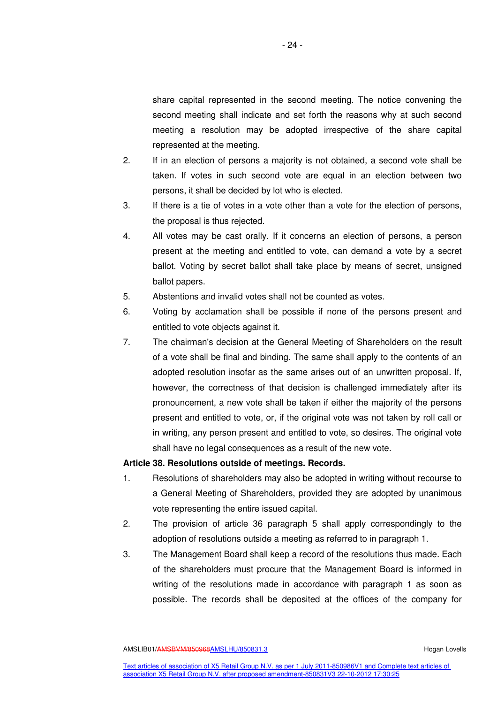share capital represented in the second meeting. The notice convening the second meeting shall indicate and set forth the reasons why at such second meeting a resolution may be adopted irrespective of the share capital represented at the meeting.

- 2. If in an election of persons a majority is not obtained, a second vote shall be taken. If votes in such second vote are equal in an election between two persons, it shall be decided by lot who is elected.
- 3. If there is a tie of votes in a vote other than a vote for the election of persons, the proposal is thus rejected.
- 4. All votes may be cast orally. If it concerns an election of persons, a person present at the meeting and entitled to vote, can demand a vote by a secret ballot. Voting by secret ballot shall take place by means of secret, unsigned ballot papers.
- 5. Abstentions and invalid votes shall not be counted as votes.
- 6. Voting by acclamation shall be possible if none of the persons present and entitled to vote objects against it.
- 7. The chairman's decision at the General Meeting of Shareholders on the result of a vote shall be final and binding. The same shall apply to the contents of an adopted resolution insofar as the same arises out of an unwritten proposal. If, however, the correctness of that decision is challenged immediately after its pronouncement, a new vote shall be taken if either the majority of the persons present and entitled to vote, or, if the original vote was not taken by roll call or in writing, any person present and entitled to vote, so desires. The original vote shall have no legal consequences as a result of the new vote.

#### **Article 38. Resolutions outside of meetings. Records.**

- 1. Resolutions of shareholders may also be adopted in writing without recourse to a General Meeting of Shareholders, provided they are adopted by unanimous vote representing the entire issued capital.
- 2. The provision of article 36 paragraph 5 shall apply correspondingly to the adoption of resolutions outside a meeting as referred to in paragraph 1.
- 3. The Management Board shall keep a record of the resolutions thus made. Each of the shareholders must procure that the Management Board is informed in writing of the resolutions made in accordance with paragraph 1 as soon as possible. The records shall be deposited at the offices of the company for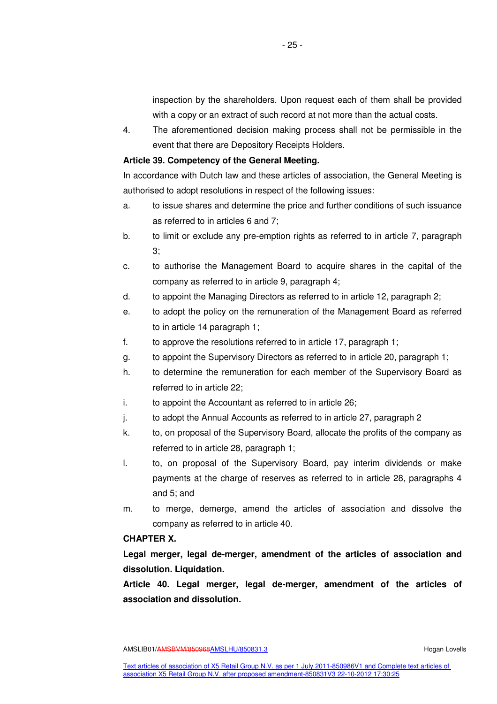inspection by the shareholders. Upon request each of them shall be provided with a copy or an extract of such record at not more than the actual costs.

4. The aforementioned decision making process shall not be permissible in the event that there are Depository Receipts Holders.

# **Article 39. Competency of the General Meeting.**

In accordance with Dutch law and these articles of association, the General Meeting is authorised to adopt resolutions in respect of the following issues:

- a. to issue shares and determine the price and further conditions of such issuance as referred to in articles 6 and 7;
- b. to limit or exclude any pre-emption rights as referred to in article 7, paragraph 3;
- c. to authorise the Management Board to acquire shares in the capital of the company as referred to in article 9, paragraph 4;
- d. to appoint the Managing Directors as referred to in article 12, paragraph 2;
- e. to adopt the policy on the remuneration of the Management Board as referred to in article 14 paragraph 1;
- f. to approve the resolutions referred to in article 17, paragraph 1;
- g. to appoint the Supervisory Directors as referred to in article 20, paragraph 1;
- h. to determine the remuneration for each member of the Supervisory Board as referred to in article 22;
- i. to appoint the Accountant as referred to in article 26;
- j. to adopt the Annual Accounts as referred to in article 27, paragraph 2
- k. to, on proposal of the Supervisory Board, allocate the profits of the company as referred to in article 28, paragraph 1;
- l. to, on proposal of the Supervisory Board, pay interim dividends or make payments at the charge of reserves as referred to in article 28, paragraphs 4 and 5; and
- m. to merge, demerge, amend the articles of association and dissolve the company as referred to in article 40.

# **CHAPTER X.**

**Legal merger, legal de-merger, amendment of the articles of association and dissolution. Liquidation.** 

**Article 40. Legal merger, legal de-merger, amendment of the articles of association and dissolution.**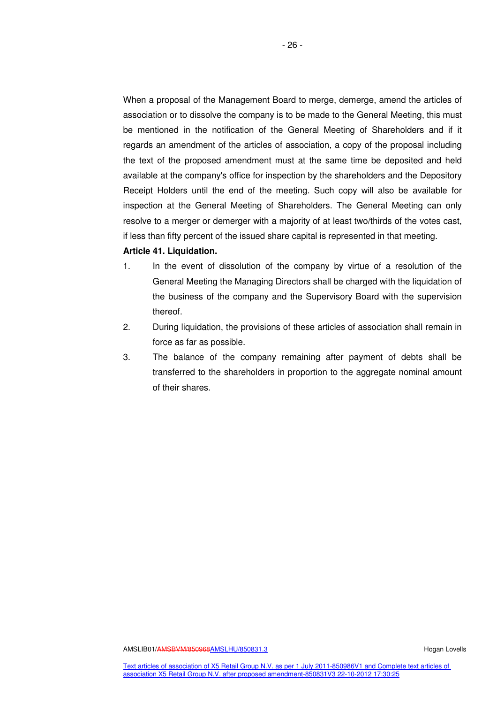When a proposal of the Management Board to merge, demerge, amend the articles of association or to dissolve the company is to be made to the General Meeting, this must be mentioned in the notification of the General Meeting of Shareholders and if it regards an amendment of the articles of association, a copy of the proposal including the text of the proposed amendment must at the same time be deposited and held available at the company's office for inspection by the shareholders and the Depository Receipt Holders until the end of the meeting. Such copy will also be available for inspection at the General Meeting of Shareholders. The General Meeting can only resolve to a merger or demerger with a majority of at least two/thirds of the votes cast, if less than fifty percent of the issued share capital is represented in that meeting.

#### **Article 41. Liquidation.**

- 1. In the event of dissolution of the company by virtue of a resolution of the General Meeting the Managing Directors shall be charged with the liquidation of the business of the company and the Supervisory Board with the supervision thereof.
- 2. During liquidation, the provisions of these articles of association shall remain in force as far as possible.
- 3. The balance of the company remaining after payment of debts shall be transferred to the shareholders in proportion to the aggregate nominal amount of their shares.